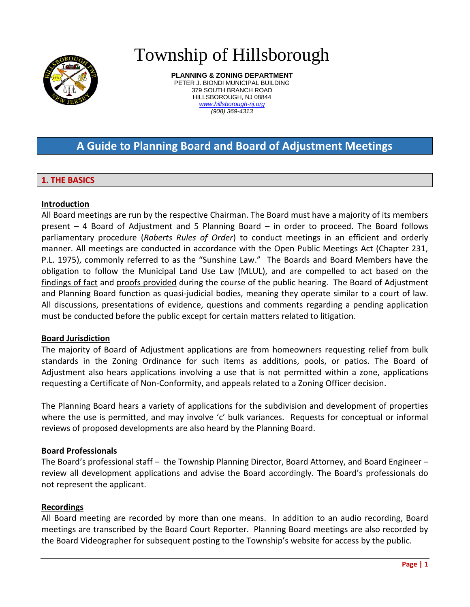

# Township of Hillsborough

**PLANNING & ZONING DEPARTMENT** PETER J. BIONDI MUNICIPAL BUILDING 379 SOUTH BRANCH ROAD HILLSBOROUGH, NJ 08844 *www.hillsborough-nj.org (908) 369-4313*

# **A Guide to Planning Board and Board of Adjustment Meetings**

# **1. THE BASICS**

# **Introduction**

All Board meetings are run by the respective Chairman. The Board must have a majority of its members present – 4 Board of Adjustment and 5 Planning Board – in order to proceed. The Board follows parliamentary procedure (*Roberts Rules of Order*) to conduct meetings in an efficient and orderly manner. All meetings are conducted in accordance with the Open Public Meetings Act (Chapter 231, P.L. 1975), commonly referred to as the "Sunshine Law." The Boards and Board Members have the obligation to follow the Municipal Land Use Law (MLUL), and are compelled to act based on the findings of fact and proofs provided during the course of the public hearing. The Board of Adjustment and Planning Board function as quasi-judicial bodies, meaning they operate similar to a court of law. All discussions, presentations of evidence, questions and comments regarding a pending application must be conducted before the public except for certain matters related to litigation.

#### **Board Jurisdiction**

The majority of Board of Adjustment applications are from homeowners requesting relief from bulk standards in the Zoning Ordinance for such items as additions, pools, or patios. The Board of Adjustment also hears applications involving a use that is not permitted within a zone, applications requesting a Certificate of Non-Conformity, and appeals related to a Zoning Officer decision.

The Planning Board hears a variety of applications for the subdivision and development of properties where the use is permitted, and may involve 'c' bulk variances. Requests for conceptual or informal reviews of proposed developments are also heard by the Planning Board.

#### **Board Professionals**

The Board's professional staff – the Township Planning Director, Board Attorney, and Board Engineer – review all development applications and advise the Board accordingly. The Board's professionals do not represent the applicant.

#### **Recordings**

All Board meeting are recorded by more than one means. In addition to an audio recording, Board meetings are transcribed by the Board Court Reporter. Planning Board meetings are also recorded by the Board Videographer for subsequent posting to the Township's website for access by the public.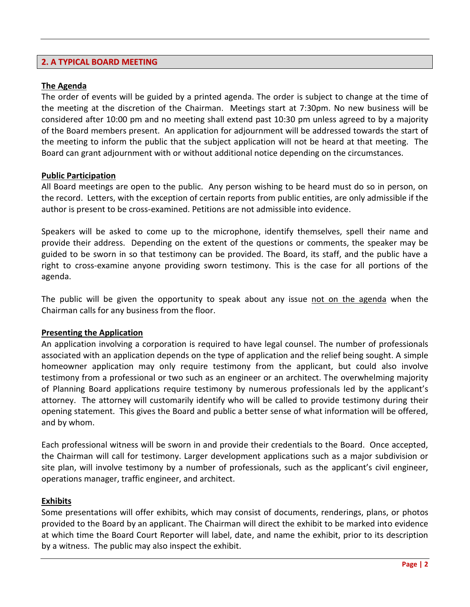# **2. A TYPICAL BOARD MEETING**

#### **The Agenda**

The order of events will be guided by a printed agenda. The order is subject to change at the time of the meeting at the discretion of the Chairman. Meetings start at 7:30pm. No new business will be considered after 10:00 pm and no meeting shall extend past 10:30 pm unless agreed to by a majority of the Board members present. An application for adjournment will be addressed towards the start of the meeting to inform the public that the subject application will not be heard at that meeting. The Board can grant adjournment with or without additional notice depending on the circumstances.

#### **Public Participation**

All Board meetings are open to the public. Any person wishing to be heard must do so in person, on the record. Letters, with the exception of certain reports from public entities, are only admissible if the author is present to be cross-examined. Petitions are not admissible into evidence.

Speakers will be asked to come up to the microphone, identify themselves, spell their name and provide their address. Depending on the extent of the questions or comments, the speaker may be guided to be sworn in so that testimony can be provided. The Board, its staff, and the public have a right to cross-examine anyone providing sworn testimony. This is the case for all portions of the agenda.

The public will be given the opportunity to speak about any issue not on the agenda when the Chairman calls for any business from the floor.

#### **Presenting the Application**

An application involving a corporation is required to have legal counsel. The number of professionals associated with an application depends on the type of application and the relief being sought. A simple homeowner application may only require testimony from the applicant, but could also involve testimony from a professional or two such as an engineer or an architect. The overwhelming majority of Planning Board applications require testimony by numerous professionals led by the applicant's attorney. The attorney will customarily identify who will be called to provide testimony during their opening statement. This gives the Board and public a better sense of what information will be offered, and by whom.

Each professional witness will be sworn in and provide their credentials to the Board. Once accepted, the Chairman will call for testimony. Larger development applications such as a major subdivision or site plan, will involve testimony by a number of professionals, such as the applicant's civil engineer, operations manager, traffic engineer, and architect.

#### **Exhibits**

Some presentations will offer exhibits, which may consist of documents, renderings, plans, or photos provided to the Board by an applicant. The Chairman will direct the exhibit to be marked into evidence at which time the Board Court Reporter will label, date, and name the exhibit, prior to its description by a witness. The public may also inspect the exhibit.